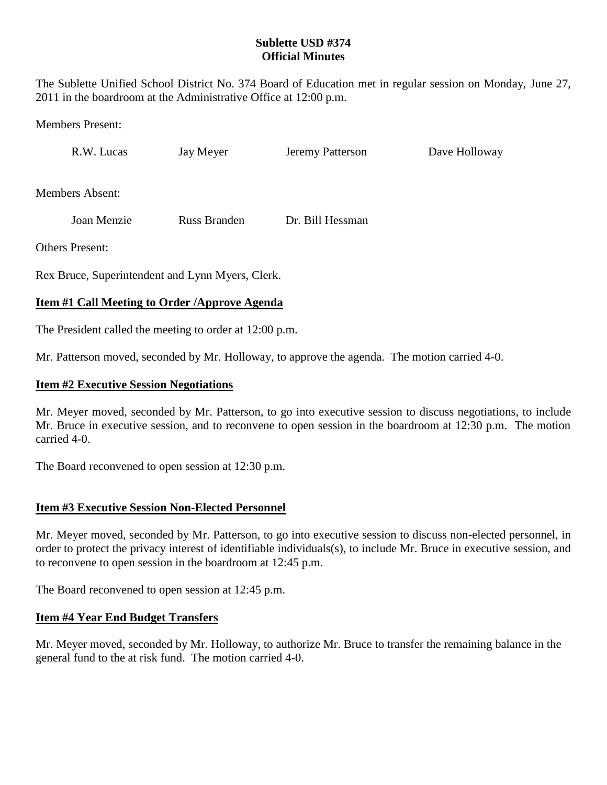### **Sublette USD #374 Official Minutes**

The Sublette Unified School District No. 374 Board of Education met in regular session on Monday, June 27, 2011 in the boardroom at the Administrative Office at 12:00 p.m.

Members Present:

R.W. Lucas Jay Meyer Jeremy Patterson Dave Holloway

Members Absent:

Joan Menzie Russ Branden Dr. Bill Hessman

Others Present:

Rex Bruce, Superintendent and Lynn Myers, Clerk.

## **Item #1 Call Meeting to Order /Approve Agenda**

The President called the meeting to order at 12:00 p.m.

Mr. Patterson moved, seconded by Mr. Holloway, to approve the agenda. The motion carried 4-0.

#### **Item #2 Executive Session Negotiations**

Mr. Meyer moved, seconded by Mr. Patterson, to go into executive session to discuss negotiations, to include Mr. Bruce in executive session, and to reconvene to open session in the boardroom at 12:30 p.m. The motion carried 4-0.

The Board reconvened to open session at 12:30 p.m.

### **Item #3 Executive Session Non-Elected Personnel**

Mr. Meyer moved, seconded by Mr. Patterson, to go into executive session to discuss non-elected personnel, in order to protect the privacy interest of identifiable individuals(s), to include Mr. Bruce in executive session, and to reconvene to open session in the boardroom at 12:45 p.m.

The Board reconvened to open session at 12:45 p.m.

### **Item #4 Year End Budget Transfers**

Mr. Meyer moved, seconded by Mr. Holloway, to authorize Mr. Bruce to transfer the remaining balance in the general fund to the at risk fund. The motion carried 4-0.